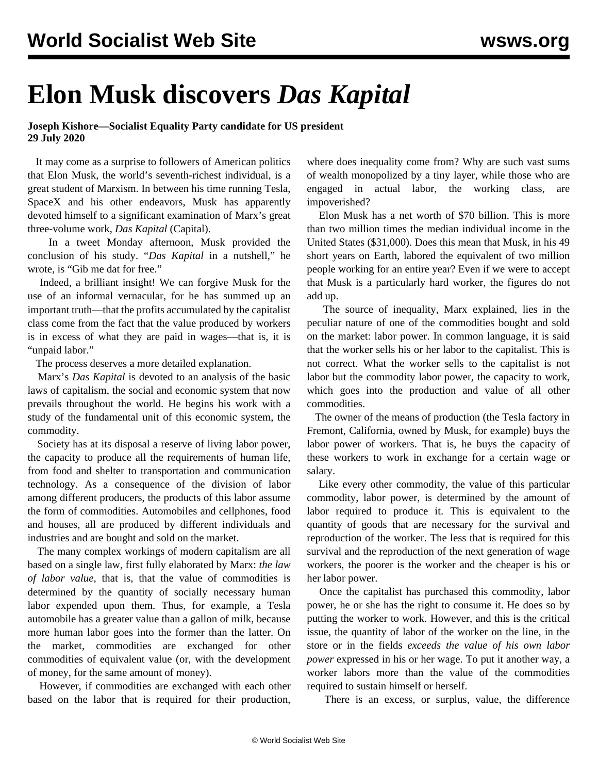## **Elon Musk discovers** *Das Kapital*

## **Joseph Kishore—Socialist Equality Party candidate for US president 29 July 2020**

 It may come as a surprise to followers of American politics that Elon Musk, the world's seventh-richest individual, is a great student of Marxism. In between his time running Tesla, SpaceX and his other endeavors, Musk has apparently devoted himself to a significant examination of Marx's great three-volume work, *Das Kapital* (Capital).

 In a tweet Monday afternoon, Musk provided the conclusion of his study. "*Das Kapital* in a nutshell," he wrote, is "Gib me dat for free."

 Indeed, a brilliant insight! We can forgive Musk for the use of an informal vernacular, for he has summed up an important truth—that the profits accumulated by the capitalist class come from the fact that the value produced by workers is in excess of what they are paid in wages—that is, it is "unpaid labor."

The process deserves a more detailed explanation.

 Marx's *Das Kapital* is devoted to an analysis of the basic laws of capitalism, the social and economic system that now prevails throughout the world. He begins his work with a study of the fundamental unit of this economic system, the commodity.

 Society has at its disposal a reserve of living labor power, the capacity to produce all the requirements of human life, from food and shelter to transportation and communication technology. As a consequence of the division of labor among different producers, the products of this labor assume the form of commodities. Automobiles and cellphones, food and houses, all are produced by different individuals and industries and are bought and sold on the market.

 The many complex workings of modern capitalism are all based on a single law, first fully elaborated by Marx: *the law of labor value*, that is, that the value of commodities is determined by the quantity of socially necessary human labor expended upon them. Thus, for example, a Tesla automobile has a greater value than a gallon of milk, because more human labor goes into the former than the latter. On the market, commodities are exchanged for other commodities of equivalent value (or, with the development of money, for the same amount of money).

 However, if commodities are exchanged with each other based on the labor that is required for their production, where does inequality come from? Why are such vast sums of wealth monopolized by a tiny layer, while those who are engaged in actual labor, the working class, are impoverished?

 Elon Musk has a net worth of \$70 billion. This is more than two million times the median individual income in the United States (\$31,000). Does this mean that Musk, in his 49 short years on Earth, labored the equivalent of two million people working for an entire year? Even if we were to accept that Musk is a particularly hard worker, the figures do not add up.

 The source of inequality, Marx explained, lies in the peculiar nature of one of the commodities bought and sold on the market: labor power. In common language, it is said that the worker sells his or her labor to the capitalist. This is not correct. What the worker sells to the capitalist is not labor but the commodity labor power, the capacity to work, which goes into the production and value of all other commodities.

 The owner of the means of production (the Tesla factory in Fremont, California, owned by Musk, for example) buys the labor power of workers. That is, he buys the capacity of these workers to work in exchange for a certain wage or salary.

 Like every other commodity, the value of this particular commodity, labor power, is determined by the amount of labor required to produce it. This is equivalent to the quantity of goods that are necessary for the survival and reproduction of the worker. The less that is required for this survival and the reproduction of the next generation of wage workers, the poorer is the worker and the cheaper is his or her labor power.

 Once the capitalist has purchased this commodity, labor power, he or she has the right to consume it. He does so by putting the worker to work. However, and this is the critical issue, the quantity of labor of the worker on the line, in the store or in the fields *exceeds the value of his own labor power* expressed in his or her wage. To put it another way, a worker labors more than the value of the commodities required to sustain himself or herself.

There is an excess, or surplus, value, the difference